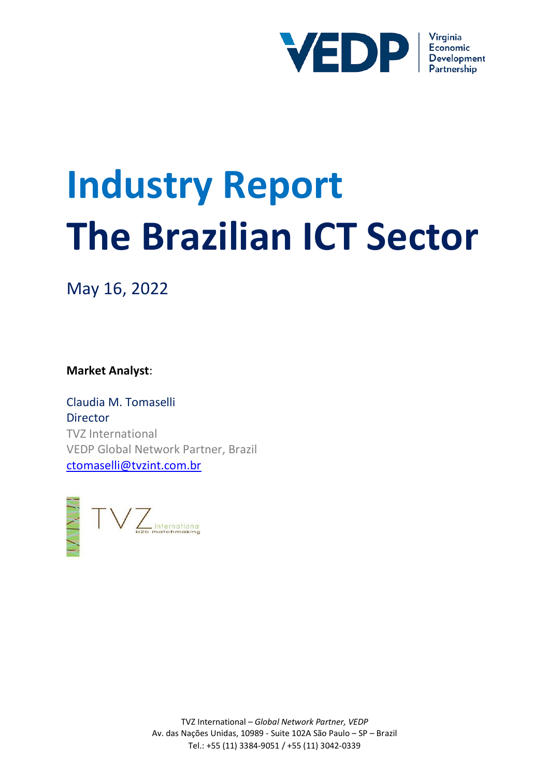

# **Industry Report The Brazilian ICT Sector**

May 16, 2022

**Market Analyst**:

Claudia M. Tomaselli Director TVZ International VEDP Global Network Partner, Brazil [ctomaselli@tvzint.com.br](mailto:ctomaselli@tvzint.com.br)



TVZ International – *Global Network Partner, VEDP* Av. das Nações Unidas, 10989 - Suite 102A São Paulo – SP – Brazil Tel.: +55 (11) 3384-9051 / +55 (11) 3042-0339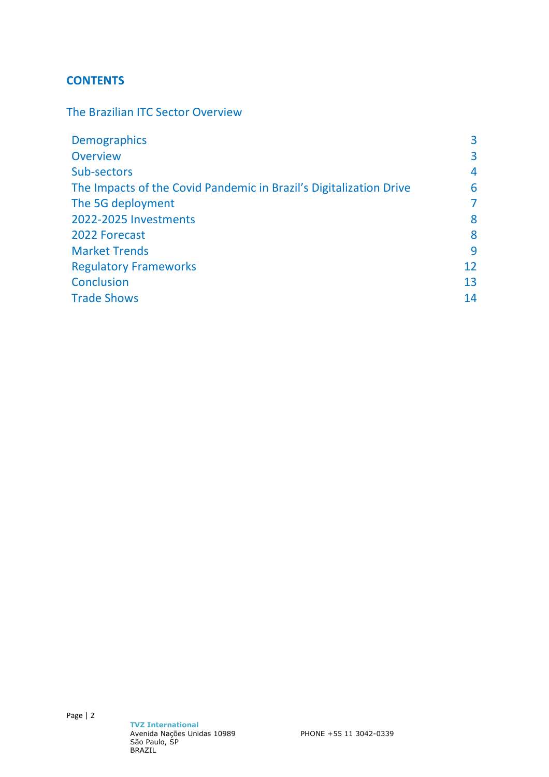# **CONTENTS**

The Brazilian ITC Sector Overview

| 3              |
|----------------|
| 3              |
| 4              |
| 6              |
| $\overline{7}$ |
| 8              |
| 8              |
| 9              |
| 12             |
| 13             |
| 14             |
|                |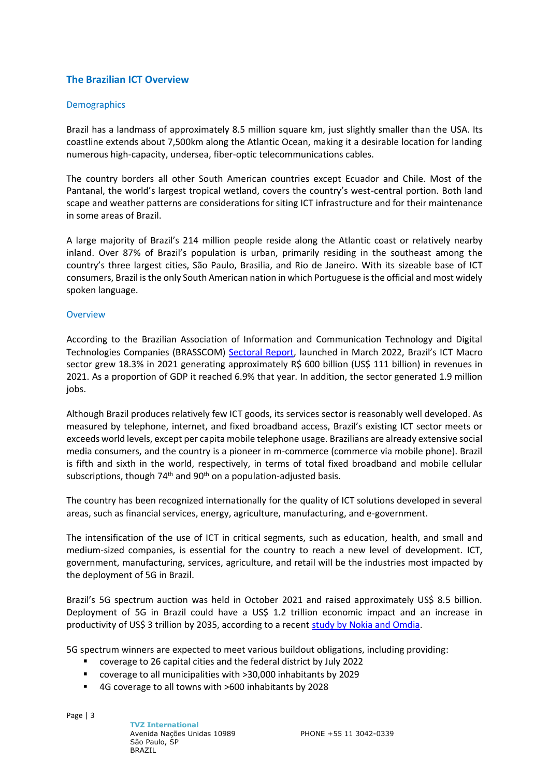# **The Brazilian ICT Overview**

# **Demographics**

Brazil has a landmass of approximately 8.5 million square km, just slightly smaller than the USA. Its coastline extends about 7,500km along the Atlantic Ocean, making it a desirable location for landing numerous high-capacity, undersea, fiber-optic telecommunications cables.

The country borders all other South American countries except Ecuador and Chile. Most of the Pantanal, the world's largest tropical wetland, covers the country's west-central portion. Both land scape and weather patterns are considerations for siting ICT infrastructure and for their maintenance in some areas of Brazil.

A large majority of Brazil's 214 million people reside along the Atlantic coast or relatively nearby inland. Over 87% of Brazil's population is urban, primarily residing in the southeast among the country's three largest cities, São Paulo, Brasilia, and Rio de Janeiro. With its sizeable base of ICT consumers, Brazil is the only South American nation in which Portuguese is the official and most widely spoken language.

# **Overview**

According to the Brazilian Association of Information and Communication Technology and Digital Technologies Companies (BRASSCOM) [Sectoral Report,](https://brasscom.org.br/pdfs/relatorio-setorial-de-tic/) launched in March 2022, Brazil's ICT Macro sector grew 18.3% in 2021 generating approximately R\$ 600 billion (US\$ 111 billion) in revenues in 2021. As a proportion of GDP it reached 6.9% that year. In addition, the sector generated 1.9 million jobs.

Although Brazil produces relatively few ICT goods, its services sector is reasonably well developed. As measured by telephone, internet, and fixed broadband access, Brazil's existing ICT sector meets or exceeds world levels, except per capita mobile telephone usage. Brazilians are already extensive social media consumers, and the country is a pioneer in m-commerce (commerce via mobile phone). Brazil is fifth and sixth in the world, respectively, in terms of total fixed broadband and mobile cellular subscriptions, though  $74<sup>th</sup>$  and  $90<sup>th</sup>$  on a population-adjusted basis.

The country has been recognized internationally for the quality of ICT solutions developed in several areas, such as financial services, energy, agriculture, manufacturing, and e-government.

The intensification of the use of ICT in critical segments, such as education, health, and small and medium-sized companies, is essential for the country to reach a new level of development. ICT, government, manufacturing, services, agriculture, and retail will be the industries most impacted by the deployment of 5G in Brazil.

Brazil's 5G spectrum auction was held in October 2021 and raised approximately US\$ 8.5 billion. Deployment of 5G in Brazil could have a US\$ 1.2 trillion economic impact and an increase in productivity of US\$ 3 trillion by 2035, according to a recent [study by Nokia and Omdia.](https://www.rcrwireless.com/20200828/5g/5g-could-have-economic-impact-brazil-2035-nokia) 

5G spectrum winners are expected to meet various buildout obligations, including providing:

- coverage to 26 capital cities and the federal district by July 2022
- coverage to all municipalities with >30,000 inhabitants by 2029
- 4G coverage to all towns with >600 inhabitants by 2028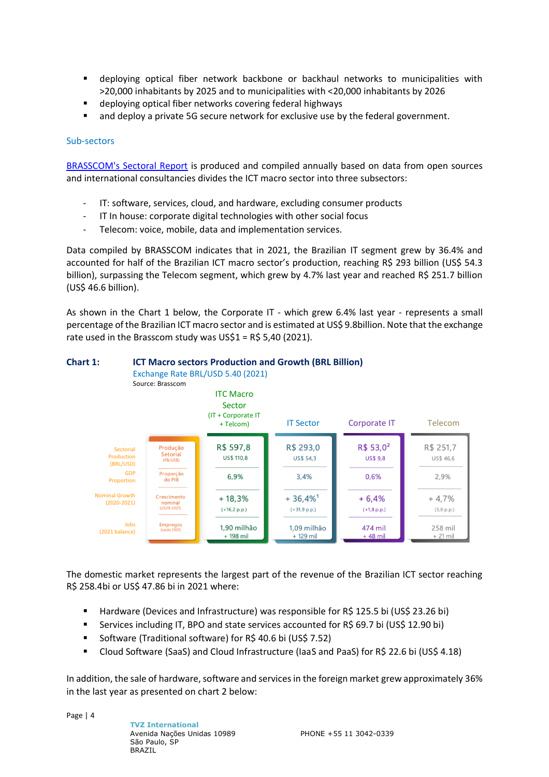- **E** deploying optical fiber network backbone or backhaul networks to municipalities with >20,000 inhabitants by 2025 and to municipalities with <20,000 inhabitants by 2026
- deploying optical fiber networks covering federal highways
- and deploy a private 5G secure network for exclusive use by the federal government.

#### Sub-sectors

[BRASSCOM's Sectoral Report](https://brasscom.org.br/pdfs/relatorio-setorial-de-tic/) is produced and compiled annually based on data from open sources and international consultancies divides the ICT macro sector into three subsectors:

- IT: software, services, cloud, and hardware, excluding consumer products
- IT In house: corporate digital technologies with other social focus
- Telecom: voice, mobile, data and implementation services.

Data compiled by BRASSCOM indicates that in 2021, the Brazilian IT segment grew by 36.4% and accounted for half of the Brazilian ICT macro sector's production, reaching R\$ 293 billion (US\$ 54.3 billion), surpassing the Telecom segment, which grew by 4.7% last year and reached R\$ 251.7 billion (US\$ 46.6 billion).

As shown in the Chart 1 below, the Corporate IT - which grew 6.4% last year - represents a small percentage of the Brazilian ICT macro sector and is estimated at US\$ 9.8billion. Note that the exchange rate used in the Brasscom study was US\$1 = R\$ 5,40 (2021).



# **Chart 1: ICT Macro sectors Production and Growth (BRL Billion)**

The domestic market represents the largest part of the revenue of the Brazilian ICT sector reaching R\$ 258.4bi or US\$ 47.86 bi in 2021 where:

- Hardware (Devices and Infrastructure) was responsible for R\$ 125.5 bi (US\$ 23.26 bi)
- Services including IT, BPO and state services accounted for R\$ 69.7 bi (US\$ 12.90 bi)
- Software (Traditional software) for R\$ 40.6 bi (US\$ 7.52)
- Cloud Software (SaaS) and Cloud Infrastructure (IaaS and PaaS) for R\$ 22.6 bi (US\$ 4.18)

In addition, the sale of hardware, software and services in the foreign market grew approximately 36% in the last year as presented on chart 2 below: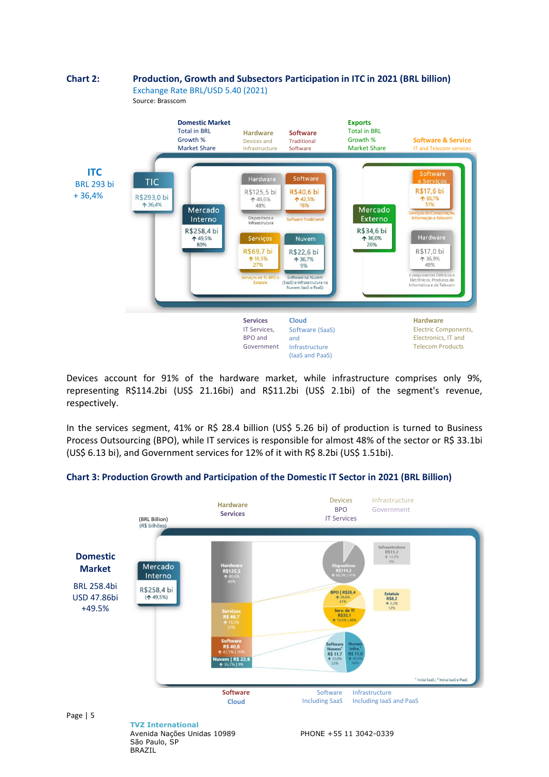

Devices account for 91% of the hardware market, while infrastructure comprises only 9%, representing R\$114.2bi (US\$ 21.16bi) and R\$11.2bi (US\$ 2.1bi) of the segment's revenue, respectively.

In the services segment, 41% or R\$ 28.4 billion (US\$ 5.26 bi) of production is turned to Business Process Outsourcing (BPO), while IT services is responsible for almost 48% of the sector or R\$ 33.1bi (US\$ 6.13 bi), and Government services for 12% of it with R\$ 8.2bi (US\$ 1.51bi).



# **Chart 3: Production Growth and Participation of the Domestic IT Sector in 2021 (BRL Billion)**

**TVZ International** Avenida Nações Unidas 10989 São Paulo, SP BRAZIL

PHONE +55 11 3042-0339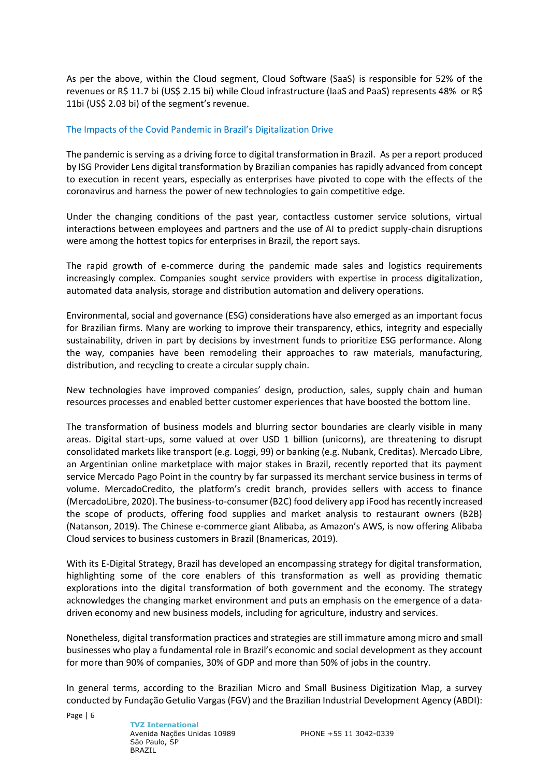As per the above, within the Cloud segment, Cloud Software (SaaS) is responsible for 52% of the revenues or R\$ 11.7 bi (US\$ 2.15 bi) while Cloud infrastructure (IaaS and PaaS) represents 48% or R\$ 11bi (US\$ 2.03 bi) of the segment's revenue.

#### The Impacts of the Covid Pandemic in Brazil's Digitalization Drive

The pandemic is serving as a driving force to digital transformation in Brazil. As per a report produced by ISG Provider Lens digital transformation by Brazilian companies has rapidly advanced from concept to execution in recent years, especially as enterprises have pivoted to cope with the effects of the coronavirus and harness the power of new technologies to gain competitive edge.

Under the changing conditions of the past year, contactless customer service solutions, virtual interactions between employees and partners and the use of AI to predict supply-chain disruptions were among the hottest topics for enterprises in Brazil, the report says.

The rapid growth of e-commerce during the pandemic made sales and logistics requirements increasingly complex. Companies sought service providers with expertise in process digitalization, automated data analysis, storage and distribution automation and delivery operations.

Environmental, social and governance (ESG) considerations have also emerged as an important focus for Brazilian firms. Many are working to improve their transparency, ethics, integrity and especially sustainability, driven in part by decisions by investment funds to prioritize ESG performance. Along the way, companies have been remodeling their approaches to raw materials, manufacturing, distribution, and recycling to create a circular supply chain.

New technologies have improved companies' design, production, sales, supply chain and human resources processes and enabled better customer experiences that have boosted the bottom line.

The transformation of business models and blurring sector boundaries are clearly visible in many areas. Digital start-ups, some valued at over USD 1 billion (unicorns), are threatening to disrupt consolidated markets like transport (e.g. Loggi, 99) or banking (e.g. Nubank, Creditas). Mercado Libre, an Argentinian online marketplace with major stakes in Brazil, recently reported that its payment service Mercado Pago Point in the country by far surpassed its merchant service business in terms of volume. MercadoCredito, the platform's credit branch, provides sellers with access to finance (MercadoLibre, 2020). The business-to-consumer (B2C) food delivery app iFood has recently increased the scope of products, offering food supplies and market analysis to restaurant owners (B2B) (Natanson, 2019). The Chinese e-commerce giant Alibaba, as Amazon's AWS, is now offering Alibaba Cloud services to business customers in Brazil (Bnamericas, 2019).

With its E-Digital Strategy, Brazil has developed an encompassing strategy for digital transformation, highlighting some of the core enablers of this transformation as well as providing thematic explorations into the digital transformation of both government and the economy. The strategy acknowledges the changing market environment and puts an emphasis on the emergence of a datadriven economy and new business models, including for agriculture, industry and services.

Nonetheless, digital transformation practices and strategies are still immature among micro and small businesses who play a fundamental role in Brazil's economic and social development as they account for more than 90% of companies, 30% of GDP and more than 50% of jobs in the country.

In general terms, according to the Brazilian Micro and Small Business Digitization Map, a survey conducted by Fundação Getulio Vargas (FGV) and the Brazilian Industrial Development Agency (ABDI):

Page | 6

**TVZ International** Avenida Nações Unidas 10989 São Paulo, SP BRAZIL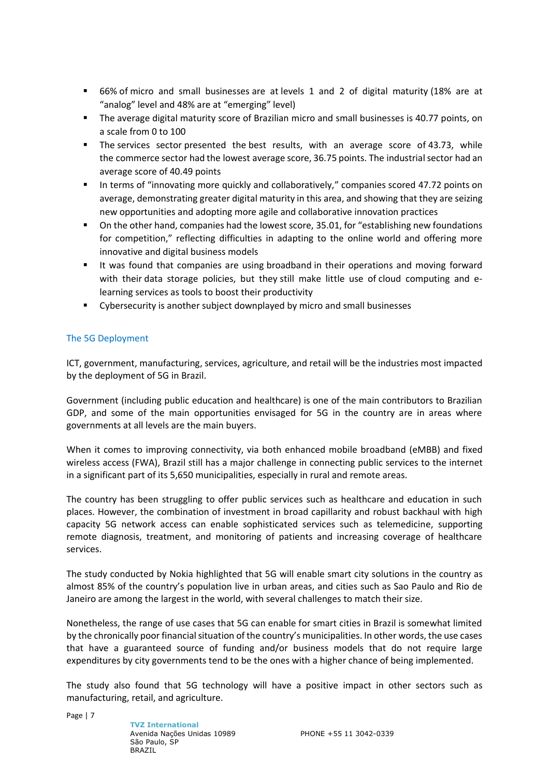- 66% of micro and small businesses are at levels 1 and 2 of digital maturity (18% are at "analog" level and 48% are at "emerging" level)
- The average digital maturity score of Brazilian micro and small businesses is 40.77 points, on a scale from 0 to 100
- The services sector presented the best results, with an average score of 43.73, while the commerce sector had the lowest average score, 36.75 points. The industrial sector had an average score of 40.49 points
- In terms of "innovating more quickly and collaboratively," companies scored 47.72 points on average, demonstrating greater digital maturity in this area, and showing that they are seizing new opportunities and adopting more agile and collaborative innovation practices
- On the other hand, companies had the lowest score, 35.01, for "establishing new foundations for competition," reflecting difficulties in adapting to the online world and offering more innovative and digital business models
- It was found that companies are using broadband in their operations and moving forward with their data storage policies, but they still make little use of cloud computing and elearning services as tools to boost their productivity
- Cybersecurity is another subject downplayed by micro and small businesses

# The 5G Deployment

ICT, government, manufacturing, services, agriculture, and retail will be the industries most impacted by the deployment of 5G in Brazil.

Government (including public education and healthcare) is one of the main contributors to Brazilian GDP, and some of the main opportunities envisaged for 5G in the country are in areas where governments at all levels are the main buyers.

When it comes to improving connectivity, via both enhanced mobile broadband (eMBB) and fixed wireless access (FWA), Brazil still has a major challenge in connecting public services to the internet in a significant part of its 5,650 municipalities, especially in rural and remote areas.

The country has been struggling to offer public services such as healthcare and education in such places. However, the combination of investment in broad capillarity and robust backhaul with high capacity 5G network access can enable sophisticated services such as telemedicine, supporting remote diagnosis, treatment, and monitoring of patients and increasing coverage of healthcare services.

The study conducted by Nokia highlighted that 5G will enable smart city solutions in the country as almost 85% of the country's population live in urban areas, and cities such as Sao Paulo and Rio de Janeiro are among the largest in the world, with several challenges to match their size.

Nonetheless, the range of use cases that 5G can enable for smart cities in Brazil is somewhat limited by the chronically poor financial situation of the country's municipalities. In other words, the use cases that have a guaranteed source of funding and/or business models that do not require large expenditures by city governments tend to be the ones with a higher chance of being implemented.

The study also found that 5G technology will have a positive impact in other sectors such as manufacturing, retail, and agriculture.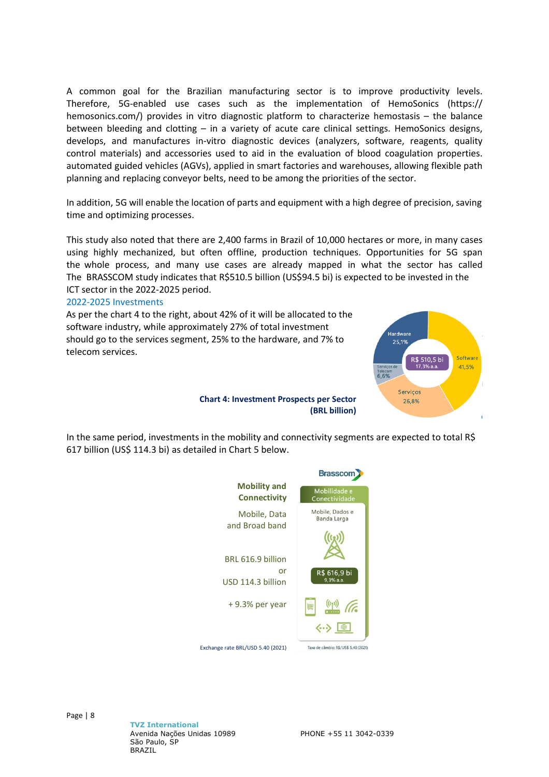A common goal for the Brazilian manufacturing sector is to improve productivity levels. Therefore, 5G-enabled use cases such as the implementation of HemoSonics (https:// hemosonics.com/) provides in vitro diagnostic platform to characterize hemostasis – the balance between bleeding and clotting – in a variety of acute care clinical settings. HemoSonics designs, develops, and manufactures in-vitro diagnostic devices (analyzers, software, reagents, quality control materials) and accessories used to aid in the evaluation of blood coagulation properties. automated guided vehicles (AGVs), applied in smart factories and warehouses, allowing flexible path planning and replacing conveyor belts, need to be among the priorities of the sector.

In addition, 5G will enable the location of parts and equipment with a high degree of precision, saving time and optimizing processes.

This study also noted that there are 2,400 farms in Brazil of 10,000 hectares or more, in many cases using highly mechanized, but often offline, production techniques. Opportunities for 5G span the whole process, and many use cases are already mapped in what the sector has called The BRASSCOM study indicates that R\$510.5 billion (US\$94.5 bi) is expected to be invested in the ICT sector in the 2022-2025 period.

#### 2022-2025 Investments

As per the chart 4 to the right, about 42% of it will be allocated to the software industry, while approximately 27% of total investment should go to the services segment, 25% to the hardware, and 7% to telecom services.



**Chart 4: Investment Prospects per Sector (BRL billion)**

In the same period, investments in the mobility and connectivity segments are expected to total R\$ 617 billion (US\$ 114.3 bi) as detailed in Chart 5 below.

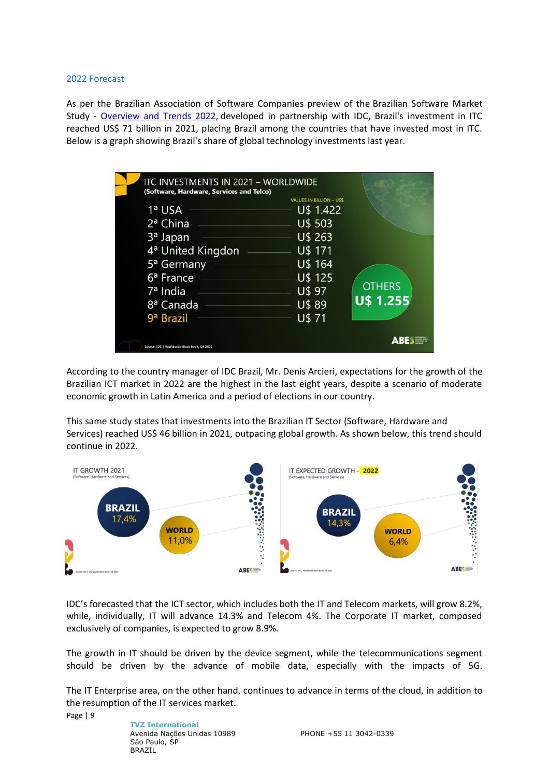#### 2022 Forecast

As per the Brazilian Association of Software Companies preview of the Brazilian Software Market Study - [Overview](https://abessoftware.com.br/en/dados-do-setor/) and Trends 2022, developed in partnership with IDC**,** Brazil's investment in ITC reached US\$ 71 billion in 2021, placing Brazil among the countries that have invested most in ITC. Below is a graph showing Brazil's share of global technology investments last year.

| ITC INVESTMENTS IN 2021 - WORLDWIDE<br>(Software, Hardware, Services and Telco)                                   |                                                                                          |                                   |
|-------------------------------------------------------------------------------------------------------------------|------------------------------------------------------------------------------------------|-----------------------------------|
| 1ª USA<br>2 <sup>a</sup> China<br>3 <sup>a</sup> Japan<br>4 <sup>a</sup> United Kingdon<br>5 <sup>a</sup> Germany | <b>VALUES IN BILLION - US\$</b><br>U\$ 1.422<br>U\$ 503<br>U\$ 263<br>U\$ 171<br>U\$ 164 |                                   |
| 6 <sup>a</sup> France<br>7 <sup>a</sup> India<br>8ª Canada<br>9 <sup>a</sup> Brazil                               | U\$ 125<br>U\$ 97<br>U\$ 89<br>U\$ 71                                                    | <b>OTHERS</b><br><b>U\$ 1.255</b> |
| Source: IDC   Worldwide Black Book, Q4 2021                                                                       |                                                                                          | $\Delta$ BE $\sim$                |

According to the country manager of IDC Brazil, Mr. Denis Arcieri, expectations for the growth of the Brazilian ICT market in 2022 are the highest in the last eight years, despite a scenario of moderate economic growth in Latin America and a period of elections in our country.

This same study states that investments into the Brazilian IT Sector (Software, Hardware and Services) reached US\$ 46 billion in 2021, outpacing global growth. As shown below, this trend should continue in 2022.



IDC's forecasted that the ICT sector, which includes both the IT and Telecom markets, will grow 8.2%, while, individually, IT will advance 14.3% and Telecom 4%. The Corporate IT market, composed exclusively of companies, is expected to grow 8.9%.

The growth in IT should be driven by the device segment, while the telecommunications segment should be driven by the advance of mobile data, especially with the impacts of 5G.

The IT Enterprise area, on the other hand, continues to advance in terms of the cloud, in addition to the resumption of the IT services market.

Page | 9

**TVZ International** Avenida Nações Unidas 10989 São Paulo, SP BRAZIL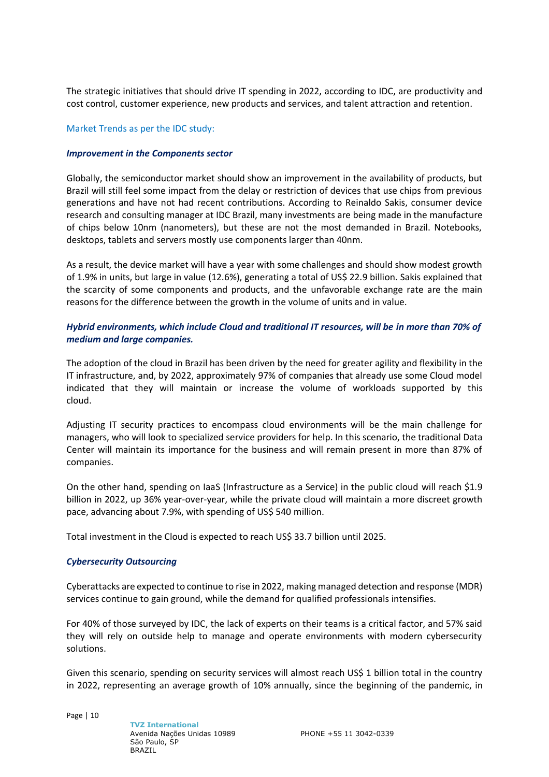The strategic initiatives that should drive IT spending in 2022, according to IDC, are productivity and cost control, customer experience, new products and services, and talent attraction and retention.

#### Market Trends as per the IDC study:

#### *Improvement in the Components sector*

Globally, the semiconductor market should show an improvement in the availability of products, but Brazil will still feel some impact from the delay or restriction of devices that use chips from previous generations and have not had recent contributions. According to Reinaldo Sakis, consumer device research and consulting manager at IDC Brazil, many investments are being made in the manufacture of chips below 10nm (nanometers), but these are not the most demanded in Brazil. Notebooks, desktops, tablets and servers mostly use components larger than 40nm.

As a result, the device market will have a year with some challenges and should show modest growth of 1.9% in units, but large in value (12.6%), generating a total of US\$ 22.9 billion. Sakis explained that the scarcity of some components and products, and the unfavorable exchange rate are the main reasons for the difference between the growth in the volume of units and in value.

# *Hybrid environments, which include Cloud and traditional IT resources, will be in more than 70% of medium and large companies.*

The adoption of the cloud in Brazil has been driven by the need for greater agility and flexibility in the IT infrastructure, and, by 2022, approximately 97% of companies that already use some Cloud model indicated that they will maintain or increase the volume of workloads supported by this cloud.

Adjusting IT security practices to encompass cloud environments will be the main challenge for managers, who will look to specialized service providers for help. In this scenario, the traditional Data Center will maintain its importance for the business and will remain present in more than 87% of companies.

On the other hand, spending on IaaS (Infrastructure as a Service) in the public cloud will reach \$1.9 billion in 2022, up 36% year-over-year, while the private cloud will maintain a more discreet growth pace, advancing about 7.9%, with spending of US\$ 540 million.

Total investment in the Cloud is expected to reach US\$ 33.7 billion until 2025.

# *Cybersecurity Outsourcing*

Cyberattacks are expected to continue to rise in 2022, making managed detection and response (MDR) services continue to gain ground, while the demand for qualified professionals intensifies.

For 40% of those surveyed by IDC, the lack of experts on their teams is a critical factor, and 57% said they will rely on outside help to manage and operate environments with modern cybersecurity solutions.

Given this scenario, spending on security services will almost reach US\$ 1 billion total in the country in 2022, representing an average growth of 10% annually, since the beginning of the pandemic, in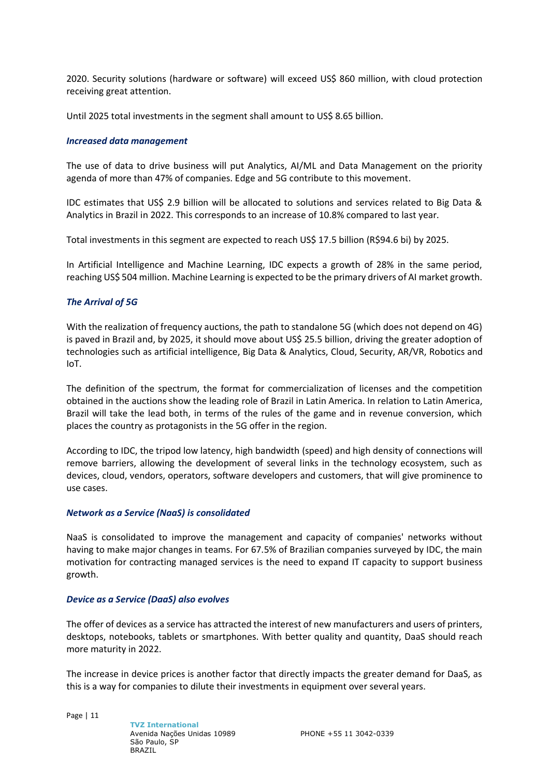2020. Security solutions (hardware or software) will exceed US\$ 860 million, with cloud protection receiving great attention.

Until 2025 total investments in the segment shall amount to US\$ 8.65 billion.

#### *Increased data management*

The use of data to drive business will put Analytics, AI/ML and Data Management on the priority agenda of more than 47% of companies. Edge and 5G contribute to this movement.

IDC estimates that US\$ 2.9 billion will be allocated to solutions and services related to Big Data & Analytics in Brazil in 2022. This corresponds to an increase of 10.8% compared to last year.

Total investments in this segment are expected to reach US\$ 17.5 billion (R\$94.6 bi) by 2025.

In Artificial Intelligence and Machine Learning, IDC expects a growth of 28% in the same period, reaching US\$ 504 million. Machine Learning is expected to be the primary drivers of AI market growth.

#### *The Arrival of 5G*

With the realization of frequency auctions, the path to standalone 5G (which does not depend on 4G) is paved in Brazil and, by 2025, it should move about US\$ 25.5 billion, driving the greater adoption of technologies such as artificial intelligence, Big Data & Analytics, Cloud, Security, AR/VR, Robotics and IoT.

The definition of the spectrum, the format for commercialization of licenses and the competition obtained in the auctions show the leading role of Brazil in Latin America. In relation to Latin America, Brazil will take the lead both, in terms of the rules of the game and in revenue conversion, which places the country as protagonists in the 5G offer in the region.

According to IDC, the tripod low latency, high bandwidth (speed) and high density of connections will remove barriers, allowing the development of several links in the technology ecosystem, such as devices, cloud, vendors, operators, software developers and customers, that will give prominence to use cases.

#### *Network as a Service (NaaS) is consolidated*

NaaS is consolidated to improve the management and capacity of companies' networks without having to make major changes in teams. For 67.5% of Brazilian companies surveyed by IDC, the main motivation for contracting managed services is the need to expand IT capacity to support business growth.

#### *Device as a Service (DaaS) also evolves*

The offer of devices as a service has attracted the interest of new manufacturers and users of printers, desktops, notebooks, tablets or smartphones. With better quality and quantity, DaaS should reach more maturity in 2022.

The increase in device prices is another factor that directly impacts the greater demand for DaaS, as this is a way for companies to dilute their investments in equipment over several years.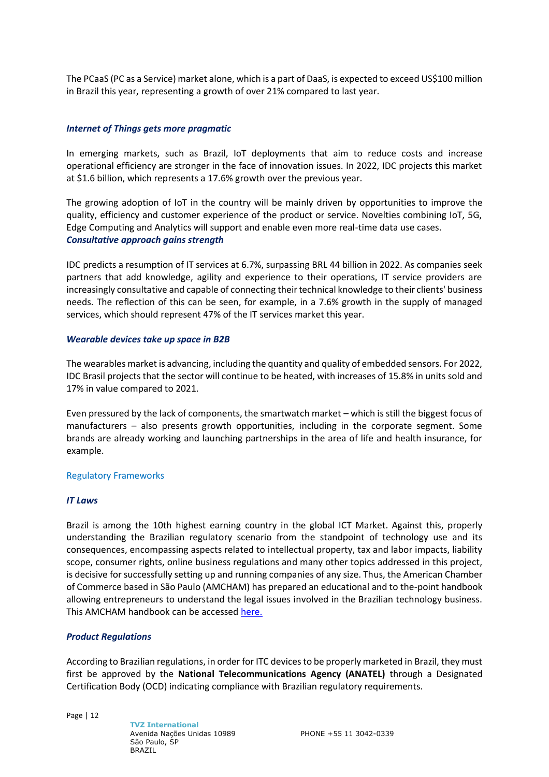The PCaaS (PC as a Service) market alone, which is a part of DaaS, is expected to exceed US\$100 million in Brazil this year, representing a growth of over 21% compared to last year.

#### *Internet of Things gets more pragmatic*

In emerging markets, such as Brazil, IoT deployments that aim to reduce costs and increase operational efficiency are stronger in the face of innovation issues. In 2022, IDC projects this market at \$1.6 billion, which represents a 17.6% growth over the previous year.

The growing adoption of IoT in the country will be mainly driven by opportunities to improve the quality, efficiency and customer experience of the product or service. Novelties combining IoT, 5G, Edge Computing and Analytics will support and enable even more real-time data use cases. *Consultative approach gains strength*

IDC predicts a resumption of IT services at 6.7%, surpassing BRL 44 billion in 2022. As companies seek partners that add knowledge, agility and experience to their operations, IT service providers are increasingly consultative and capable of connecting their technical knowledge to their clients' business needs. The reflection of this can be seen, for example, in a 7.6% growth in the supply of managed services, which should represent 47% of the IT services market this year.

#### *Wearable devices take up space in B2B*

The wearables market is advancing, including the quantity and quality of embedded sensors. For 2022, IDC Brasil projects that the sector will continue to be heated, with increases of 15.8% in units sold and 17% in value compared to 2021.

Even pressured by the lack of components, the smartwatch market – which is still the biggest focus of manufacturers – also presents growth opportunities, including in the corporate segment. Some brands are already working and launching partnerships in the area of life and health insurance, for example.

#### Regulatory Frameworks

#### *IT Laws*

Brazil is among the 10th highest earning country in the global ICT Market. Against this, properly understanding the Brazilian regulatory scenario from the standpoint of technology use and its consequences, encompassing aspects related to intellectual property, tax and labor impacts, liability scope, consumer rights, online business regulations and many other topics addressed in this project, is decisive for successfully setting up and running companies of any size. Thus, the American Chamber of Commerce based in São Paulo (AMCHAM) has prepared an educational and to the-point handbook allowing entrepreneurs to understand the legal issues involved in the Brazilian technology business. This AMCHAM handbook can be accessed [here.](https://pk.adv.br/wp-content/uploads/2019/08/howto-understand-it-law-in-brazil.pdf)

#### *Product Regulations*

According to Brazilian regulations, in order for ITC devices to be properly marketed in Brazil, they must first be approved by the **National Telecommunications Agency (ANATEL)** through a Designated Certification Body (OCD) indicating compliance with Brazilian regulatory requirements.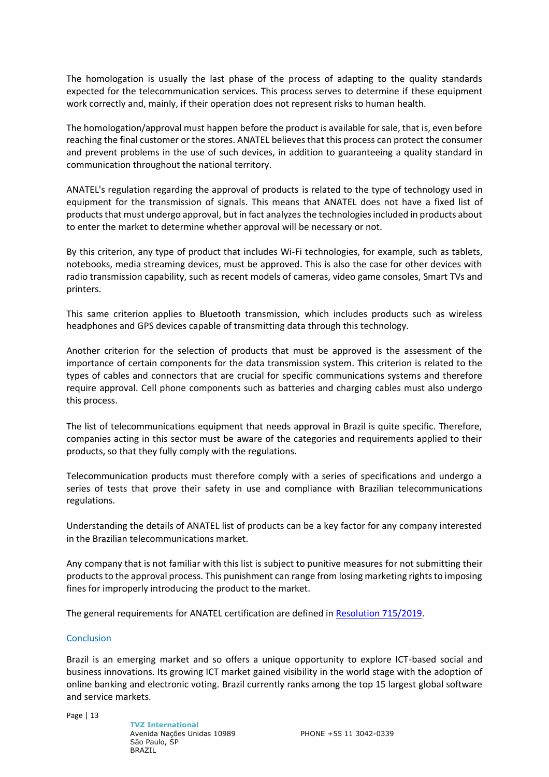The homologation is usually the last phase of the process of adapting to the quality standards expected for the telecommunication services. This process serves to determine if these equipment work correctly and, mainly, if their operation does not represent risks to human health.

The homologation/approval must happen before the product is available for sale, that is, even before reaching the final customer or the stores. ANATEL believes that this process can protect the consumer and prevent problems in the use of such devices, in addition to guaranteeing a quality standard in communication throughout the national territory.

ANATEL's regulation regarding the approval of products is related to the type of technology used in equipment for the transmission of signals. This means that ANATEL does not have a fixed list of products that must undergo approval, but in fact analyzes the technologies included in products about to enter the market to determine whether approval will be necessary or not.

By this criterion, any type of product that includes Wi-Fi technologies, for example, such as tablets, notebooks, media streaming devices, must be approved. This is also the case for other devices with radio transmission capability, such as recent models of cameras, video game consoles, Smart TVs and printers.

This same criterion applies to Bluetooth transmission, which includes products such as wireless headphones and GPS devices capable of transmitting data through this technology.

Another criterion for the selection of products that must be approved is the assessment of the importance of certain components for the data transmission system. This criterion is related to the types of cables and connectors that are crucial for specific communications systems and therefore require approval. Cell phone components such as batteries and charging cables must also undergo this process.

The list of telecommunications equipment that needs approval in Brazil is quite specific. Therefore, companies acting in this sector must be aware of the categories and requirements applied to their products, so that they fully comply with the regulations.

Telecommunication products must therefore comply with a series of specifications and undergo a series of tests that prove their safety in use and compliance with Brazilian telecommunications regulations.

Understanding the details of ANATEL list of products can be a key factor for any company interested in the Brazilian telecommunications market.

Any company that is not familiar with this list is subject to punitive measures for not submitting their products to the approval process. This punishment can range from losing marketing rights to imposing fines for improperly introducing the product to the market.

The general requirements for ANATEL certification are defined in [Resolution 715/2019.](https://www.anatel.gov.br/legislacao/resolucoes/2019/1350-resolucao-715#art3)

# **Conclusion**

Brazil is an emerging market and so offers a unique opportunity to explore ICT-based social and business innovations. Its growing ICT market gained visibility in the world stage with the adoption of online banking and electronic voting. Brazil currently ranks among the top 15 largest global software and service markets.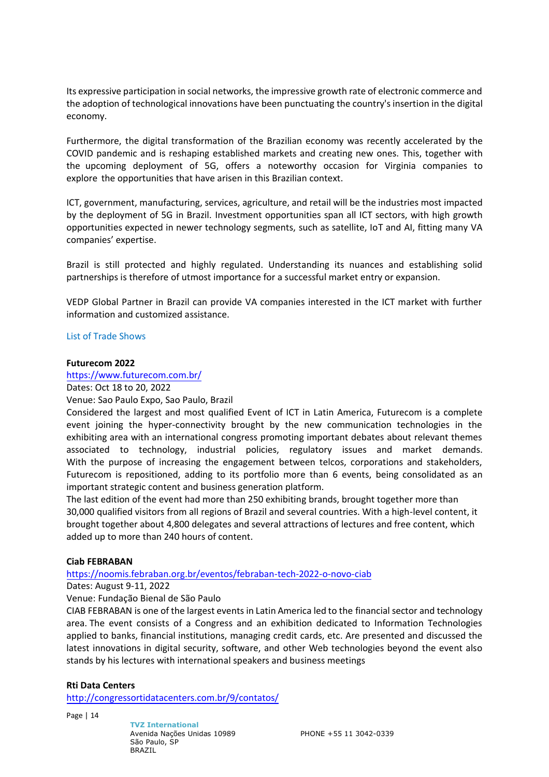Its expressive participation in social networks, the impressive growth rate of electronic commerce and the adoption of technological innovations have been punctuating the country's insertion in the digital economy.

Furthermore, the digital transformation of the Brazilian economy was recently accelerated by the COVID pandemic and is reshaping established markets and creating new ones. This, together with the upcoming deployment of 5G, offers a noteworthy occasion for Virginia companies to explore the opportunities that have arisen in this Brazilian context.

ICT, government, manufacturing, services, agriculture, and retail will be the industries most impacted by the deployment of 5G in Brazil. Investment opportunities span all ICT sectors, with high growth opportunities expected in newer technology segments, such as satellite, IoT and AI, fitting many VA companies' expertise.

Brazil is still protected and highly regulated. Understanding its nuances and establishing solid partnerships is therefore of utmost importance for a successful market entry or expansion.

VEDP Global Partner in Brazil can provide VA companies interested in the ICT market with further information and customized assistance.

#### List of Trade Shows

#### **Futurecom 2022**

<https://www.futurecom.com.br/>

Dates: Oct 18 to 20, 2022

Venue: Sao Paulo Expo, Sao Paulo, Brazil

Considered the largest and most qualified Event of ICT in Latin America, Futurecom is a complete event joining the hyper-connectivity brought by the new communication technologies in the exhibiting area with an international congress promoting important debates about relevant themes associated to technology, industrial policies, regulatory issues and market demands. With the purpose of increasing the engagement between telcos, corporations and stakeholders, Futurecom is repositioned, adding to its portfolio more than 6 events, being consolidated as an important strategic content and business generation platform.

The last edition of the event had more than 250 exhibiting brands, brought together more than 30,000 qualified visitors from all regions of Brazil and several countries. With a high-level content, it brought together about 4,800 delegates and several attractions of lectures and free content, which added up to more than 240 hours of content.

# **Ciab FEBRABAN**

<https://noomis.febraban.org.br/eventos/febraban-tech-2022-o-novo-ciab>

Dates: August 9-11, 2022

Venue: Fundação Bienal de São Paulo

CIAB FEBRABAN is one of the largest events in Latin America led to the financial sector and technology area. The event consists of a Congress and an exhibition dedicated to Information Technologies applied to banks, financial institutions, managing credit cards, etc. Are presented and discussed the latest innovations in digital security, software, and other Web technologies beyond the event also stands by his lectures with international speakers and business meetings

# **Rti Data Centers**

<http://congressortidatacenters.com.br/9/contatos/>